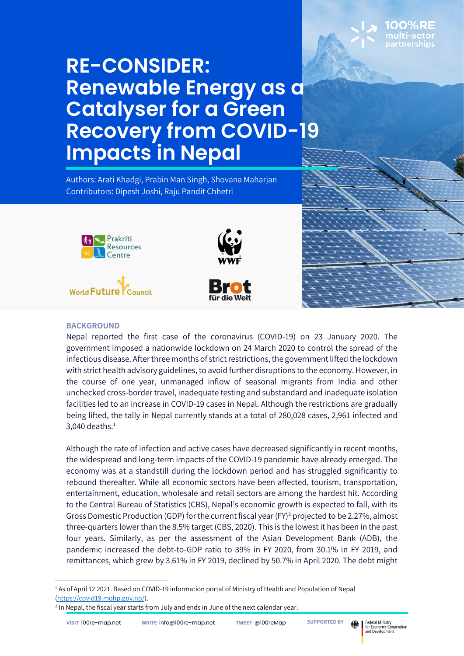# **RE-CONSIDER: Renewable Energy as a Catalyser for a Green Recovery from COVID-19 Impacts in Nepal**

Authors: Arati Khadgi, Prabin Man Singh, Shovana Maharjan Contributors: Dipesh Joshi, Raju Pandit Chhetri







Nepal reported the first case of the coronavirus (COVID-19) on 23 January 2020. The government imposed a nationwide lockdown on 24 March 2020 to control the spread of the infectious disease. After three months of strict restrictions, the government lifted the lockdown with strict health advisory guidelines, to avoid further disruptions to the economy. However, in the course of one year, unmanaged inflow of seasonal migrants from India and other unchecked cross-border travel, inadequate testing and substandard and inadequate isolation facilities led to an increase in COVID-19 cases in Nepal. Although the restrictions are gradually being lifted, the tally in Nepal currently stands at a total of 280,028 cases, 2,961 infected and  $3,040$  deaths. $<sup>1</sup>$ </sup>

Although the rate of infection and active cases have decreased significantly in recent months, the widespread and long-term impacts of the COVID-19 pandemic have already emerged. The economy was at a standstill during the lockdown period and has struggled significantly to rebound thereafter. While all economic sectors have been affected, tourism, transportation, entertainment, education, wholesale and retail sectors are among the hardest hit. According to the Central Bureau of Statistics (CBS), Nepal's economic growth is expected to fall, with its Gross Domestic Production (GDP) for the current fiscal year (FY)<sup>2</sup> projected to be 2.27%, almost three-quarters lower than the 8.5% target (CBS, 2020). This is the lowest it has been in the past four years. Similarly, as per the assessment of the Asian Development Bank (ADB), the pandemic increased the debt-to-GDP ratio to 39% in FY 2020, from 30.1% in FY 2019, and remittances, which grew by 3.61% in FY 2019, declined by 50.7% in April 2020. The debt might



<sup>&</sup>lt;sup>1</sup> As of April 12 2021. Based on COVID-19 information portal of Ministry of Health and Population of Nepal [\(https://covid19.mohp.gov.np/\)](https://covid19.mohp.gov.np/).

<sup>&</sup>lt;sup>2</sup> In Nepal, the fiscal year starts from July and ends in June of the next calendar year.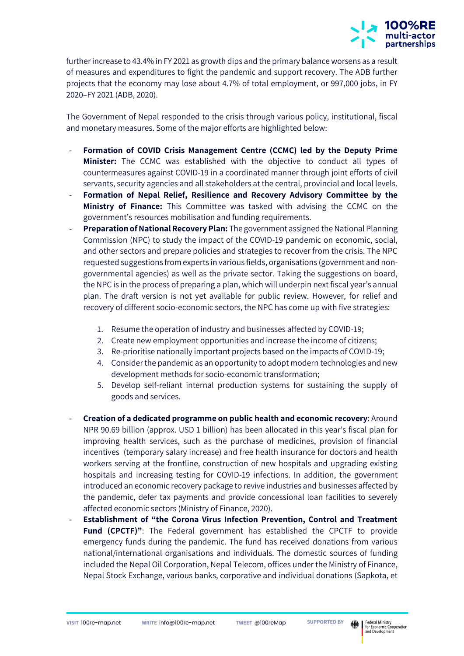

further increase to 43.4% in FY 2021 as growth dips and the primary balance worsens as a result of measures and expenditures to fight the pandemic and support recovery. The ADB further projects that the economy may lose about 4.7% of total employment, or 997,000 jobs, in FY 2020–FY 2021 (ADB, 2020).

The Government of Nepal responded to the crisis through various policy, institutional, fiscal and monetary measures. Some of the major efforts are highlighted below:

- **Formation of COVID Crisis Management Centre (CCMC) led by the Deputy Prime Minister:** The CCMC was established with the objective to conduct all types of countermeasures against COVID-19 in a coordinated manner through joint efforts of civil servants, security agencies and all stakeholders at the central, provincial and local levels.
- **Formation of Nepal Relief, Resilience and Recovery Advisory Committee by the Ministry of Finance:** This Committee was tasked with advising the CCMC on the government's resources mobilisation and funding requirements.
- **Preparation of National Recovery Plan:** The government assigned the National Planning Commission (NPC) to study the impact of the COVID-19 pandemic on economic, social, and other sectors and prepare policies and strategies to recover from the crisis. The NPC requested suggestions from experts in various fields, organisations (government and nongovernmental agencies) as well as the private sector. Taking the suggestions on board, the NPC is in the process of preparing a plan, which will underpin next fiscal year's annual plan. The draft version is not yet available for public review. However, for relief and recovery of different socio-economic sectors, the NPC has come up with five strategies:
	- 1. Resume the operation of industry and businesses affected by COVID-19;
	- 2. Create new employment opportunities and increase the income of citizens;
	- 3. Re-prioritise nationally important projects based on the impacts of COVID-19;
	- 4. Consider the pandemic as an opportunity to adopt modern technologies and new development methods for socio-economic transformation;
	- 5. Develop self-reliant internal production systems for sustaining the supply of goods and services.
- **Creation of a dedicated programme on public health and economic recovery**: Around NPR 90.69 billion (approx. USD 1 billion) has been allocated in this year's fiscal plan for improving health services, such as the purchase of medicines, provision of financial incentives (temporary salary increase) and free health insurance for doctors and health workers serving at the frontline, construction of new hospitals and upgrading existing hospitals and increasing testing for COVID-19 infections. In addition, the government introduced an economic recovery package to revive industries and businesses affected by the pandemic, defer tax payments and provide concessional loan facilities to severely affected economic sectors (Ministry of Finance, 2020).
- **Establishment of "the Corona Virus Infection Prevention, Control and Treatment Fund (CPCTF)"**: The Federal government has established the CPCTF to provide emergency funds during the pandemic. The fund has received donations from various national/international organisations and individuals. The domestic sources of funding included the Nepal Oil Corporation, Nepal Telecom, offices under the Ministry of Finance, Nepal Stock Exchange, various banks, corporative and individual donations (Sapkota, et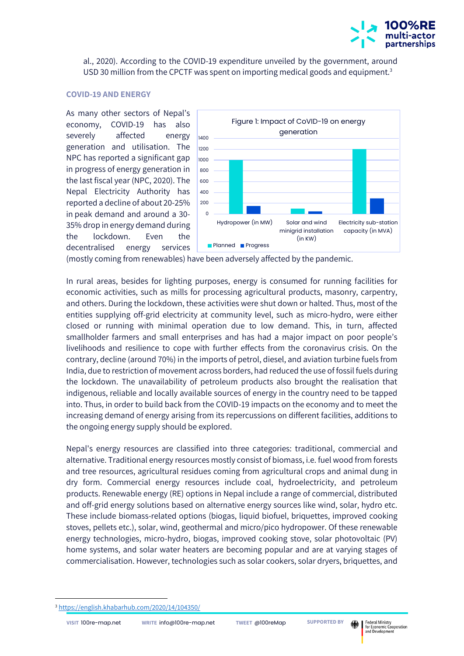

al., 2020). According to the COVID-19 expenditure unveiled by the government, around USD 30 million from the CPCTF was spent on importing medical goods and equipment.<sup>3</sup>

#### **COVID-19 AND ENERGY**

As many other sectors of Nepal's economy, COVID-19 has also severely affected energy generation and utilisation. The NPC has reported a significant gap in progress of energy generation in the last fiscal year (NPC, 2020). The Nepal Electricity Authority has reported a decline of about 20-25% in peak demand and around a 30- 35% drop in energy demand during the lockdown. Even the decentralised energy services



(mostly coming from renewables) have been adversely affected by the pandemic.

In rural areas, besides for lighting purposes, energy is consumed for running facilities for economic activities, such as mills for processing agricultural products, masonry, carpentry, and others. During the lockdown, these activities were shut down or halted. Thus, most of the entities supplying off-grid electricity at community level, such as micro-hydro, were either closed or running with minimal operation due to low demand. This, in turn, affected smallholder farmers and small enterprises and has had a major impact on poor people's livelihoods and resilience to cope with further effects from the coronavirus crisis. On the contrary, decline (around 70%) in the imports of petrol, diesel, and aviation turbine fuels from India, due to restriction of movement across borders, had reduced the use of fossil fuels during the lockdown. The unavailability of petroleum products also brought the realisation that indigenous, reliable and locally available sources of energy in the country need to be tapped into. Thus, in order to build back from the COVID-19 impacts on the economy and to meet the increasing demand of energy arising from its repercussions on different facilities, additions to the ongoing energy supply should be explored.

Nepal's energy resources are classified into three categories: traditional, commercial and alternative. Traditional energy resources mostly consist of biomass, i.e. fuel wood from forests and tree resources, agricultural residues coming from agricultural crops and animal dung in dry form. Commercial energy resources include coal, hydroelectricity, and petroleum products. Renewable energy (RE) options in Nepal include a range of commercial, distributed and off-grid energy solutions based on alternative energy sources like wind, solar, hydro etc. These include biomass-related options (biogas, liquid biofuel, briquettes, improved cooking stoves, pellets etc.), solar, wind, geothermal and micro/pico hydropower. Of these renewable energy technologies, micro-hydro, biogas, improved cooking stove, solar photovoltaic (PV) home systems, and solar water heaters are becoming popular and are at varying stages of commercialisation. However, technologies such as solar cookers, solar dryers, briquettes, and

<sup>3</sup> <https://english.khabarhub.com/2020/14/104350/>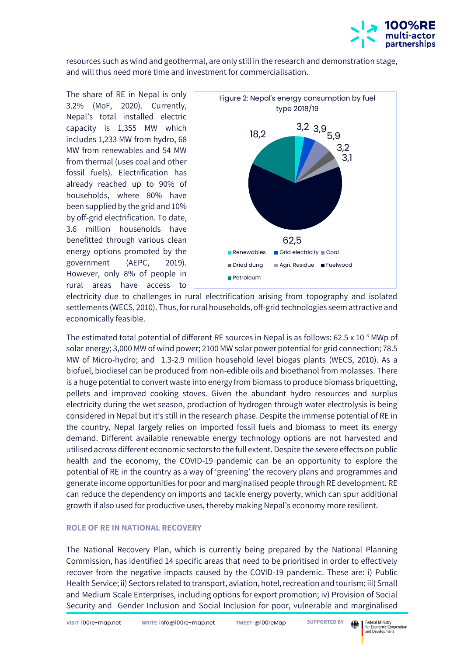

resources such as wind and geothermal, are only still in the research and demonstration stage, and will thus need more time and investment for commercialisation.

The share of RE in Nepal is only 3.2% (MoF, 2020). Currently, Nepal's total installed electric capacity is 1,355 MW which includes 1,233 MW from hydro, 68 MW from renewables and 54 MW from thermal (uses coal and other fossil fuels). Electrification has already reached up to 90% of households, where 80% have been supplied by the grid and 10% by off-grid electrification. To date, 3.6 million households have benefitted through various clean energy options promoted by the government (AEPC, 2019). However, only 8% of people in rural areas have access to



electricity due to challenges in rural electrification arising from topography and isolated settlements (WECS, 2010). Thus, for rural households, off-grid technologies seem attractive and economically feasible.

The estimated total potential of different RE sources in Nepal is as follows: 62.5 x 10<sup>3</sup> MWp of solar energy; 3,000 MW of wind power; 2100 MW solar power potential for grid connection; 78.5 MW of Micro-hydro; and 1.3-2.9 million household level biogas plants (WECS, 2010). As a biofuel, biodiesel can be produced from non-edible oils and bioethanol from molasses. There is a huge potential to convert waste into energy from biomass to produce biomass briquetting, pellets and improved cooking stoves. Given the abundant hydro resources and surplus electricity during the wet season, production of hydrogen through water electrolysis is being considered in Nepal but it's still in the research phase. Despite the immense potential of RE in the country, Nepal largely relies on imported fossil fuels and biomass to meet its energy demand. Different available renewable energy technology options are not harvested and utilised across different economic sectors to the full extent. Despite the severe effects on public health and the economy, the COVID-19 pandemic can be an opportunity to explore the potential of RE in the country as a way of 'greening' the recovery plans and programmes and generate income opportunities for poor and marginalised people through RE development. RE can reduce the dependency on imports and tackle energy poverty, which can spur additional growth if also used for productive uses, thereby making Nepal's economy more resilient.

### **ROLE OF RE IN NATIONAL RECOVERY**

The National Recovery Plan, which is currently being prepared by the National Planning Commission, has identified 14 specific areas that need to be prioritised in order to effectively recover from the negative impacts caused by the COVID-19 pandemic. These are: i) Public Health Service; ii) Sectors related to transport, aviation, hotel, recreation and tourism; iii) Small and Medium Scale Enterprises, including options for export promotion; iv) Provision of Social Security and Gender Inclusion and Social Inclusion for poor, vulnerable and marginalised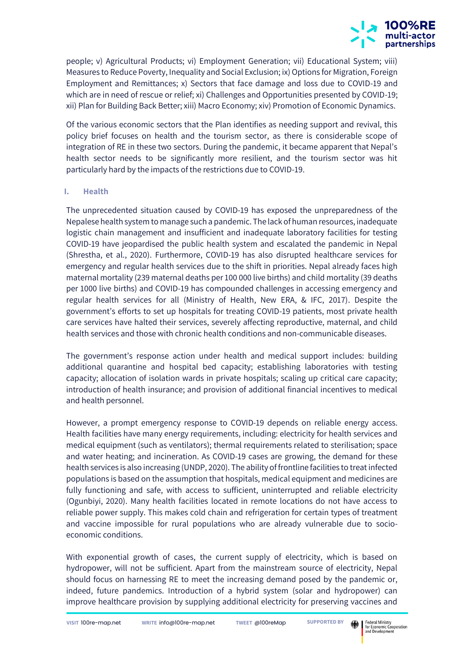

people; v) Agricultural Products; vi) Employment Generation; vii) Educational System; viii) Measures to Reduce Poverty, Inequality and Social Exclusion; ix) Options for Migration, Foreign Employment and Remittances; x) Sectors that face damage and loss due to COVID-19 and which are in need of rescue or relief; xi) Challenges and Opportunities presented by COVID-19; xii) Plan for Building Back Better; xiii) Macro Economy; xiv) Promotion of Economic Dynamics.

Of the various economic sectors that the Plan identifies as needing support and revival, this policy brief focuses on health and the tourism sector, as there is considerable scope of integration of RE in these two sectors. During the pandemic, it became apparent that Nepal's health sector needs to be significantly more resilient, and the tourism sector was hit particularly hard by the impacts of the restrictions due to COVID-19.

## **I. Health**

The unprecedented situation caused by COVID-19 has exposed the unpreparedness of the Nepalese health system to manage such a pandemic. The lack of human resources, inadequate logistic chain management and insufficient and inadequate laboratory facilities for testing COVID-19 have jeopardised the public health system and escalated the pandemic in Nepal (Shrestha, et al., 2020). Furthermore, COVID-19 has also disrupted healthcare services for emergency and regular health services due to the shift in priorities. Nepal already faces high maternal mortality (239 maternal deaths per 100 000 live births) and child mortality (39 deaths per 1000 live births) and COVID-19 has compounded challenges in accessing emergency and regular health services for all (Ministry of Health, New ERA, & IFC, 2017). Despite the government's efforts to set up hospitals for treating COVID-19 patients, most private health care services have halted their services, severely affecting reproductive, maternal, and child health services and those with chronic health conditions and non-communicable diseases.

The government's response action under health and medical support includes: building additional quarantine and hospital bed capacity; establishing laboratories with testing capacity; allocation of isolation wards in private hospitals; scaling up critical care capacity; introduction of health insurance; and provision of additional financial incentives to medical and health personnel.

However, a prompt emergency response to COVID-19 depends on reliable energy access. Health facilities have many energy requirements, including: electricity for health services and medical equipment (such as ventilators); thermal requirements related to sterilisation; space and water heating; and incineration. As COVID-19 cases are growing, the demand for these health services is also increasing (UNDP, 2020). The ability of frontline facilities to treat infected populations is based on the assumption that hospitals, medical equipment and medicines are fully functioning and safe, with access to sufficient, uninterrupted and reliable electricity (Ogunbiyi, 2020). Many health facilities located in remote locations do not have access to reliable power supply. This makes cold chain and refrigeration for certain types of treatment and vaccine impossible for rural populations who are already vulnerable due to socioeconomic conditions.

With exponential growth of cases, the current supply of electricity, which is based on hydropower, will not be sufficient. Apart from the mainstream source of electricity, Nepal should focus on harnessing RE to meet the increasing demand posed by the pandemic or, indeed, future pandemics. Introduction of a hybrid system (solar and hydropower) can improve healthcare provision by supplying additional electricity for preserving vaccines and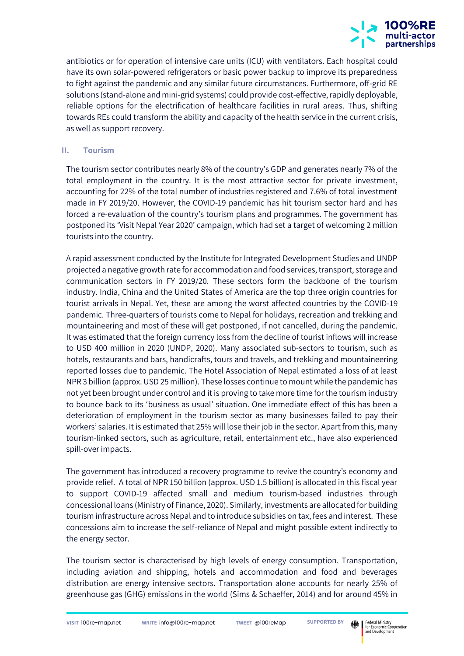

antibiotics or for operation of intensive care units (ICU) with ventilators. Each hospital could have its own solar-powered refrigerators or basic power backup to improve its preparedness to fight against the pandemic and any similar future circumstances. Furthermore, off-grid RE solutions (stand-alone and mini-grid systems) could provide cost-effective, rapidly deployable, reliable options for the electrification of healthcare facilities in rural areas. Thus, shifting towards REs could transform the ability and capacity of the health service in the current crisis, as well as support recovery.

## **II. Tourism**

The tourism sector contributes nearly 8% of the country's GDP and generates nearly 7% of the total employment in the country. It is the most attractive sector for private investment, accounting for 22% of the total number of industries registered and 7.6% of total investment made in FY 2019/20. However, the COVID-19 pandemic has hit tourism sector hard and has forced a re-evaluation of the country's tourism plans and programmes. The government has postponed its 'Visit Nepal Year 2020' campaign, which had set a target of welcoming 2 million tourists into the country.

A rapid assessment conducted by the Institute for Integrated Development Studies and UNDP projected a negative growth rate for accommodation and food services, transport, storage and communication sectors in FY 2019/20. These sectors form the backbone of the tourism industry. India, China and the United States of America are the top three origin countries for tourist arrivals in Nepal. Yet, these are among the worst affected countries by the COVID-19 pandemic. Three-quarters of tourists come to Nepal for holidays, recreation and trekking and mountaineering and most of these will get postponed, if not cancelled, during the pandemic. It was estimated that the foreign currency loss from the decline of tourist inflows will increase to USD 400 million in 2020 (UNDP, 2020). Many associated sub-sectors to tourism, such as hotels, restaurants and bars, handicrafts, tours and travels, and trekking and mountaineering reported losses due to pandemic. The Hotel Association of Nepal estimated a loss of at least NPR 3 billion (approx. USD 25 million). These losses continue to mount while the pandemic has not yet been brought under control and it is proving to take more time for the tourism industry to bounce back to its 'business as usual' situation. One immediate effect of this has been a deterioration of employment in the tourism sector as many businesses failed to pay their workers' salaries. It is estimated that 25% will lose their job in the sector. Apart from this, many tourism-linked sectors, such as agriculture, retail, entertainment etc., have also experienced spill-over impacts.

The government has introduced a recovery programme to revive the country's economy and provide relief. A total of NPR 150 billion (approx. USD 1.5 billion) is allocated in this fiscal year to support COVID-19 affected small and medium tourism-based industries through concessional loans (Ministry of Finance, 2020). Similarly, investments are allocated for building tourism infrastructure across Nepal and to introduce subsidies on tax, fees and interest. These concessions aim to increase the self-reliance of Nepal and might possible extent indirectly to the energy sector.

The tourism sector is characterised by high levels of energy consumption. Transportation, including aviation and shipping, hotels and accommodation and food and beverages distribution are energy intensive sectors. Transportation alone accounts for nearly 25% of greenhouse gas (GHG) emissions in the world (Sims & Schaeffer, 2014) and for around 45% in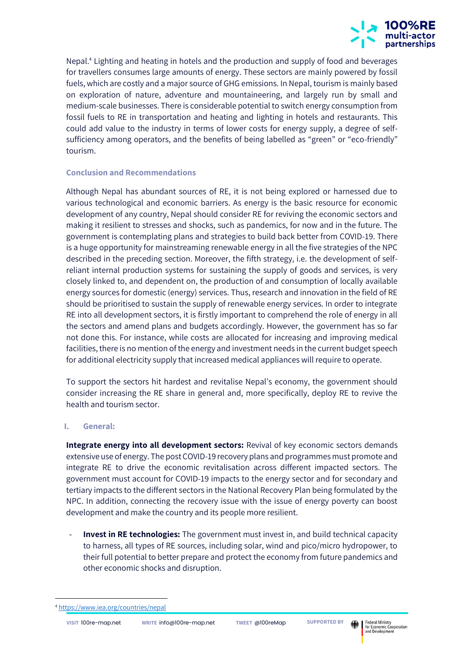

Nepal.<sup>4</sup> Lighting and heating in hotels and the production and supply of food and beverages for travellers consumes large amounts of energy. These sectors are mainly powered by fossil fuels, which are costly and a major source of GHG emissions. In Nepal, tourism is mainly based on exploration of nature, adventure and mountaineering, and largely run by small and medium-scale businesses. There is considerable potential to switch energy consumption from fossil fuels to RE in transportation and heating and lighting in hotels and restaurants. This could add value to the industry in terms of lower costs for energy supply, a degree of selfsufficiency among operators, and the benefits of being labelled as "green" or "eco-friendly" tourism.

## **Conclusion and Recommendations**

Although Nepal has abundant sources of RE, it is not being explored or harnessed due to various technological and economic barriers. As energy is the basic resource for economic development of any country, Nepal should consider RE for reviving the economic sectors and making it resilient to stresses and shocks, such as pandemics, for now and in the future. The government is contemplating plans and strategies to build back better from COVID-19. There is a huge opportunity for mainstreaming renewable energy in all the five strategies of the NPC described in the preceding section. Moreover, the fifth strategy, i.e. the development of selfreliant internal production systems for sustaining the supply of goods and services, is very closely linked to, and dependent on, the production of and consumption of locally available energy sources for domestic (energy) services. Thus, research and innovation in the field of RE should be prioritised to sustain the supply of renewable energy services. In order to integrate RE into all development sectors, it is firstly important to comprehend the role of energy in all the sectors and amend plans and budgets accordingly. However, the government has so far not done this. For instance, while costs are allocated for increasing and improving medical facilities, there is no mention of the energy and investment needs in the current budget speech for additional electricity supply that increased medical appliances will require to operate.

To support the sectors hit hardest and revitalise Nepal's economy, the government should consider increasing the RE share in general and, more specifically, deploy RE to revive the health and tourism sector.

### **I. General:**

**Integrate energy into all development sectors:** Revival of key economic sectors demands extensive use of energy. The post COVID-19 recovery plans and programmes must promote and integrate RE to drive the economic revitalisation across different impacted sectors. The government must account for COVID-19 impacts to the energy sector and for secondary and tertiary impacts to the different sectors in the National Recovery Plan being formulated by the NPC. In addition, connecting the recovery issue with the issue of energy poverty can boost development and make the country and its people more resilient.

Invest in RE technologies: The government must invest in, and build technical capacity to harness, all types of RE sources, including solar, wind and pico/micro hydropower, to their full potential to better prepare and protect the economy from future pandemics and other economic shocks and disruption.

<sup>4</sup> <https://www.iea.org/countries/nepal>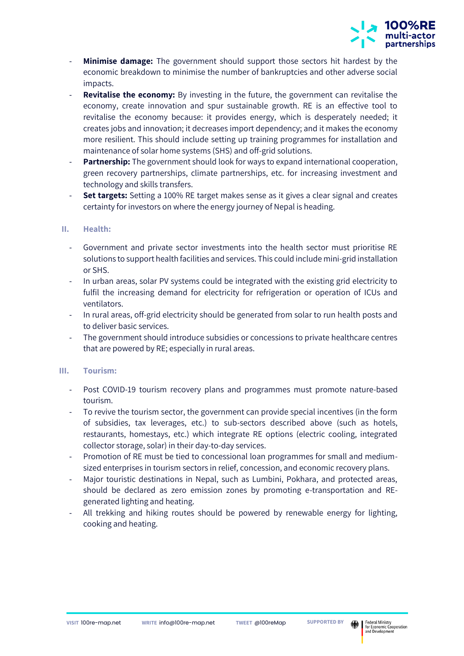

- **Minimise damage:** The government should support those sectors hit hardest by the economic breakdown to minimise the number of bankruptcies and other adverse social impacts.
- **Revitalise the economy:** By investing in the future, the government can revitalise the economy, create innovation and spur sustainable growth. RE is an effective tool to revitalise the economy because: it provides energy, which is desperately needed; it creates jobs and innovation; it decreases import dependency; and it makes the economy more resilient. This should include setting up training programmes for installation and maintenance of solar home systems (SHS) and off-grid solutions.
- **Partnership:** The government should look for ways to expand international cooperation, green recovery partnerships, climate partnerships, etc. for increasing investment and technology and skills transfers.
- Set targets: Setting a 100% RE target makes sense as it gives a clear signal and creates certainty for investors on where the energy journey of Nepal is heading.

## **II. Health:**

- Government and private sector investments into the health sector must prioritise RE solutions to support health facilities and services. This could include mini-grid installation or SHS.
- In urban areas, solar PV systems could be integrated with the existing grid electricity to fulfil the increasing demand for electricity for refrigeration or operation of ICUs and ventilators.
- In rural areas, off-grid electricity should be generated from solar to run health posts and to deliver basic services.
- The government should introduce subsidies or concessions to private healthcare centres that are powered by RE; especially in rural areas.

## **III. Tourism:**

- Post COVID-19 tourism recovery plans and programmes must promote nature-based tourism.
- To revive the tourism sector, the government can provide special incentives (in the form of subsidies, tax leverages, etc.) to sub-sectors described above (such as hotels, restaurants, homestays, etc.) which integrate RE options (electric cooling, integrated collector storage, solar) in their day-to-day services.
- Promotion of RE must be tied to concessional loan programmes for small and mediumsized enterprises in tourism sectors in relief, concession, and economic recovery plans.
- Major touristic destinations in Nepal, such as Lumbini, Pokhara, and protected areas, should be declared as zero emission zones by promoting e-transportation and REgenerated lighting and heating.
- All trekking and hiking routes should be powered by renewable energy for lighting, cooking and heating.